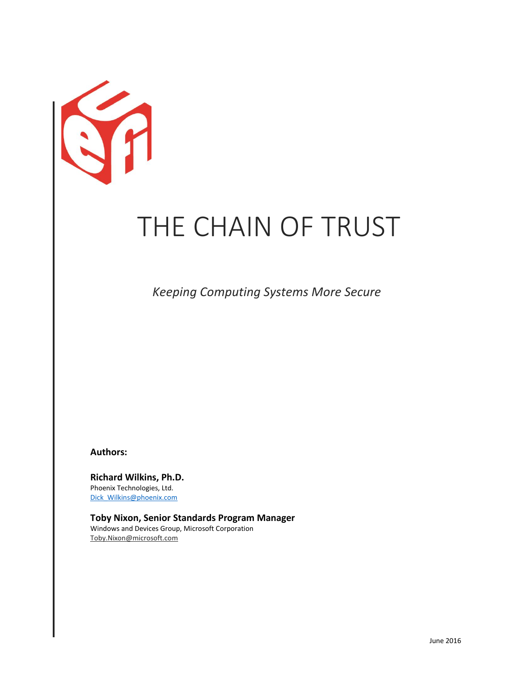

# THE CHAIN OF TRUST

 *Keeping Computing Systems More Secure* 

**Authors:**

**Richard Wilkins, Ph.D.** Phoenix Technologies, Ltd. [Dick\\_Wilkins@phoenix.com](mailto:Dick_Wilkins@phoenix.com)

**Toby Nixon, Senior Standards Program Manager** Windows and Devices Group, Microsoft Corporation Toby.Nixon@microsoft.com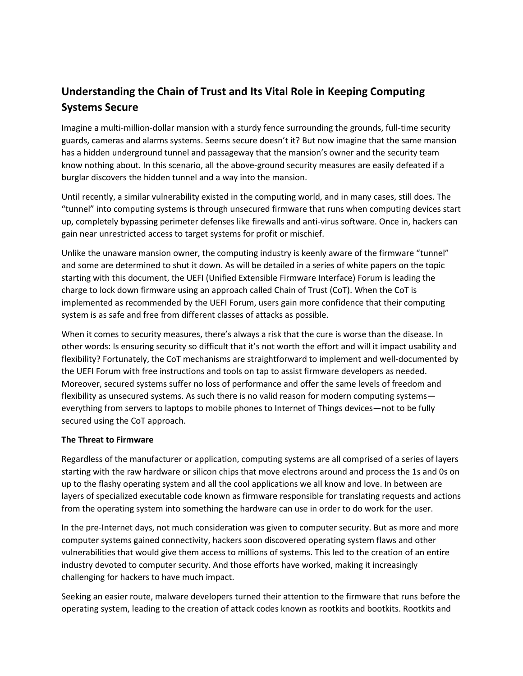# **Understanding the Chain of Trust and Its Vital Role in Keeping Computing Systems Secure**

Imagine a multi-million-dollar mansion with a sturdy fence surrounding the grounds, full-time security guards, cameras and alarms systems. Seems secure doesn't it? But now imagine that the same mansion has a hidden underground tunnel and passageway that the mansion's owner and the security team know nothing about. In this scenario, all the above-ground security measures are easily defeated if a burglar discovers the hidden tunnel and a way into the mansion.

Until recently, a similar vulnerability existed in the computing world, and in many cases, still does. The "tunnel" into computing systems is through unsecured firmware that runs when computing devices start up, completely bypassing perimeter defenses like firewalls and anti-virus software. Once in, hackers can gain near unrestricted access to target systems for profit or mischief.

Unlike the unaware mansion owner, the computing industry is keenly aware of the firmware "tunnel" and some are determined to shut it down. As will be detailed in a series of white papers on the topic starting with this document, the UEFI (Unified Extensible Firmware Interface) Forum is leading the charge to lock down firmware using an approach called Chain of Trust (CoT). When the CoT is implemented as recommended by the UEFI Forum, users gain more confidence that their computing system is as safe and free from different classes of attacks as possible.

When it comes to security measures, there's always a risk that the cure is worse than the disease. In other words: Is ensuring security so difficult that it's not worth the effort and will it impact usability and flexibility? Fortunately, the CoT mechanisms are straightforward to implement and well-documented by the UEFI Forum with free instructions and tools on tap to assist firmware developers as needed. Moreover, secured systems suffer no loss of performance and offer the same levels of freedom and flexibility as unsecured systems. As such there is no valid reason for modern computing systems everything from servers to laptops to mobile phones to Internet of Things devices—not to be fully secured using the CoT approach.

# **The Threat to Firmware**

Regardless of the manufacturer or application, computing systems are all comprised of a series of layers starting with the raw hardware or silicon chips that move electrons around and process the 1s and 0s on up to the flashy operating system and all the cool applications we all know and love. In between are layers of specialized executable code known as firmware responsible for translating requests and actions from the operating system into something the hardware can use in order to do work for the user.

In the pre-Internet days, not much consideration was given to computer security. But as more and more computer systems gained connectivity, hackers soon discovered operating system flaws and other vulnerabilities that would give them access to millions of systems. This led to the creation of an entire industry devoted to computer security. And those efforts have worked, making it increasingly challenging for hackers to have much impact.

Seeking an easier route, malware developers turned their attention to the firmware that runs before the operating system, leading to the creation of attack codes known as rootkits and bootkits. Rootkits and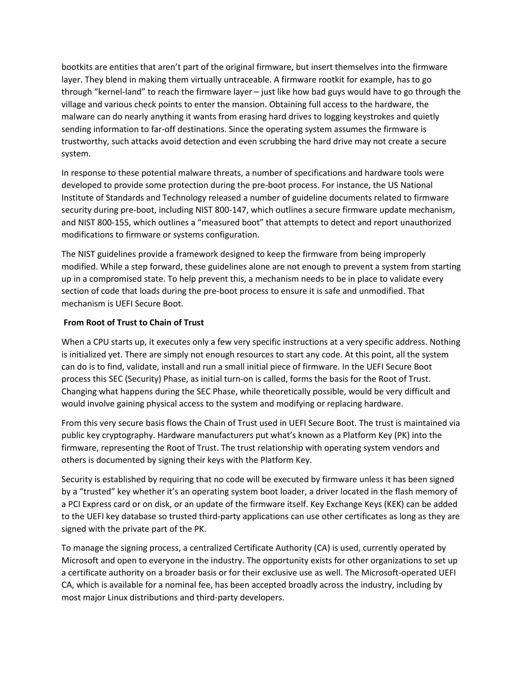bootkits are entities that aren't part of the original firmware, but insert themselves into the firmware layer. They blend in making them virtually untraceable. A firmware rootkit for example, has to go through "kernel-land" to reach the firmware layer – just like how bad guys would have to go through the village and various check points to enter the mansion. Obtaining full access to the hardware, the malware can do nearly anything it wants from erasing hard drives to logging keystrokes and quietly sending information to far-off destinations. Since the operating system assumes the firmware is trustworthy, such attacks avoid detection and even scrubbing the hard drive may not create a secure system.

In response to these potential malware threats, a number of specifications and hardware tools were developed to provide some protection during the pre-boot process. For instance, the US National Institute of Standards and Technology released a number of guideline documents related to firmware security during pre-boot, including NIST 800-147, which outlines a secure firmware update mechanism, and NIST 800-155, which outlines a "measured boot" that attempts to detect and report unauthorized modifications to firmware or systems configuration.

The NIST guidelines provide a framework designed to keep the firmware from being improperly modified. While a step forward, these guidelines alone are not enough to prevent a system from starting up in a compromised state. To help prevent this, a mechanism needs to be in place to validate every section of code that loads during the pre-boot process to ensure it is safe and unmodified. That mechanism is UEFI Secure Boot.

# **From Root of Trust to Chain of Trust**

When a CPU starts up, it executes only a few very specific instructions at a very specific address. Nothing is initialized yet. There are simply not enough resources to start any code. At this point, all the system can do is to find, validate, install and run a small initial piece of firmware. In the UEFI Secure Boot process this SEC (Security) Phase, as initial turn-on is called, forms the basis for the Root of Trust. Changing what happens during the SEC Phase, while theoretically possible, would be very difficult and would involve gaining physical access to the system and modifying or replacing hardware.

From this very secure basis flows the Chain of Trust used in UEFI Secure Boot. The trust is maintained via public key cryptography. Hardware manufacturers put what's known as a Platform Key (PK) into the firmware, representing the Root of Trust. The trust relationship with operating system vendors and others is documented by signing their keys with the Platform Key.

Security is established by requiring that no code will be executed by firmware unless it has been signed by a "trusted" key whether it's an operating system boot loader, a driver located in the flash memory of a PCI Express card or on disk, or an update of the firmware itself. Key Exchange Keys (KEK) can be added to the UEFI key database so trusted third-party applications can use other certificates as long as they are signed with the private part of the PK.

To manage the signing process, a centralized Certificate Authority (CA) is used, currently operated by Microsoft and open to everyone in the industry. The opportunity exists for other organizations to set up a certificate authority on a broader basis or for their exclusive use as well. The Microsoft-operated UEFI CA, which is available for a nominal fee, has been accepted broadly across the industry, including by most major Linux distributions and third-party developers.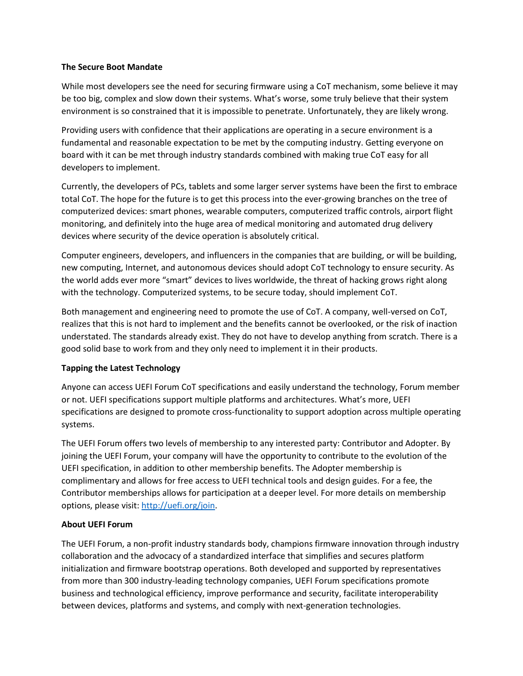# **The Secure Boot Mandate**

While most developers see the need for securing firmware using a CoT mechanism, some believe it may be too big, complex and slow down their systems. What's worse, some truly believe that their system environment is so constrained that it is impossible to penetrate. Unfortunately, they are likely wrong.

Providing users with confidence that their applications are operating in a secure environment is a fundamental and reasonable expectation to be met by the computing industry. Getting everyone on board with it can be met through industry standards combined with making true CoT easy for all developers to implement.

Currently, the developers of PCs, tablets and some larger server systems have been the first to embrace total CoT. The hope for the future is to get this process into the ever-growing branches on the tree of computerized devices: smart phones, wearable computers, computerized traffic controls, airport flight monitoring, and definitely into the huge area of medical monitoring and automated drug delivery devices where security of the device operation is absolutely critical.

Computer engineers, developers, and influencers in the companies that are building, or will be building, new computing, Internet, and autonomous devices should adopt CoT technology to ensure security. As the world adds ever more "smart" devices to lives worldwide, the threat of hacking grows right along with the technology. Computerized systems, to be secure today, should implement CoT.

Both management and engineering need to promote the use of CoT. A company, well-versed on CoT, realizes that this is not hard to implement and the benefits cannot be overlooked, or the risk of inaction understated. The standards already exist. They do not have to develop anything from scratch. There is a good solid base to work from and they only need to implement it in their products.

# **Tapping the Latest Technology**

Anyone can access UEFI Forum CoT specifications and easily understand the technology, Forum member or not. UEFI specifications support multiple platforms and architectures. What's more, UEFI specifications are designed to promote cross-functionality to support adoption across multiple operating systems.

The UEFI Forum offers two levels of membership to any interested party: Contributor and Adopter. By joining the UEFI Forum, your company will have the opportunity to contribute to the evolution of the UEFI specification, in addition to other membership benefits. The Adopter membership is complimentary and allows for free access to UEFI technical tools and design guides. For a fee, the Contributor memberships allows for participation at a deeper level. For more details on membership options, please visit[: http://uefi.org/join.](http://uefi.org/join)

# **About UEFI Forum**

The UEFI Forum, a non-profit industry standards body, champions firmware innovation through industry collaboration and the advocacy of a standardized interface that simplifies and secures platform initialization and firmware bootstrap operations. Both developed and supported by representatives from more than 300 industry-leading technology companies, UEFI Forum specifications promote business and technological efficiency, improve performance and security, facilitate interoperability between devices, platforms and systems, and comply with next-generation technologies.